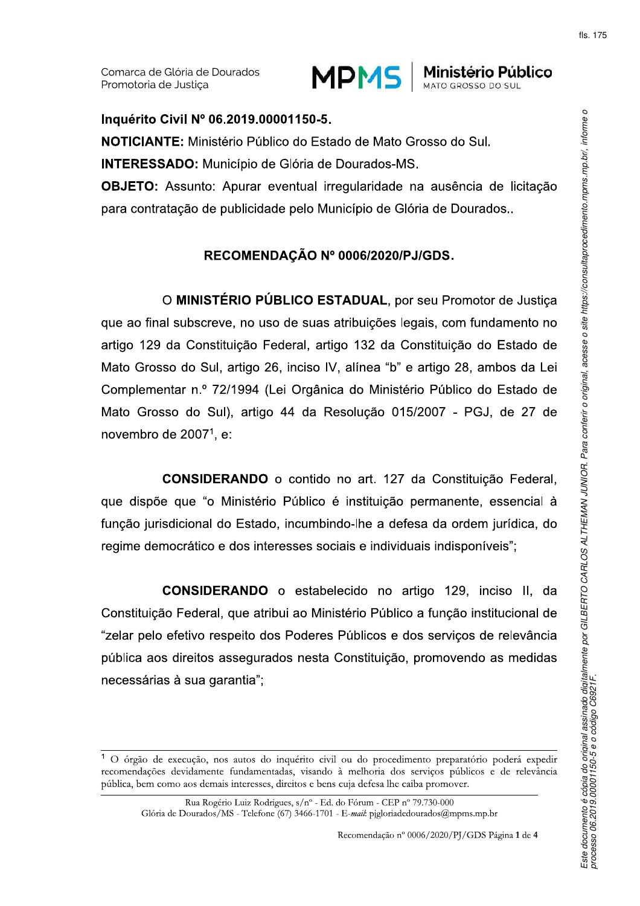

MATO GROSSO DO SUL

Inquérito Civil Nº 06.2019.00001150-5. **NOTICIANTE:** Ministério Público do Estado de Mato Grosso do Sul. **INTERESSADO:** Município de Glória de Dourados-MS. **OBJETO:** Assunto: Apurar eventual irregularidade na ausência de licitação para contratação de publicidade pelo Município de Glória de Dourados..

## RECOMENDAÇÃO Nº 0006/2020/PJ/GDS.

O MINISTÉRIO PÚBLICO ESTADUAL, por seu Promotor de Justica que ao final subscreve, no uso de suas atribuições legais, com fundamento no artigo 129 da Constituição Federal, artigo 132 da Constituição do Estado de Mato Grosso do Sul, artigo 26, inciso IV, alínea "b" e artigo 28, ambos da Lei Complementar n.º 72/1994 (Lei Orgânica do Ministério Público do Estado de Mato Grosso do Sul), artigo 44 da Resolução 015/2007 - PGJ, de 27 de novembro de 2007<sup>1</sup>, e:

CONSIDERANDO o contido no art. 127 da Constituição Federal. que dispõe que "o Ministério Público é instituição permanente, essencial à função jurisdicional do Estado, incumbindo-lhe a defesa da ordem jurídica, do regime democrático e dos interesses sociais e individuais indisponíveis";

**CONSIDERANDO** o estabelecido no artigo 129, inciso II, da Constituição Federal, que atribui ao Ministério Público a função institucional de "zelar pelo efetivo respeito dos Poderes Públicos e dos serviços de relevância pública aos direitos assegurados nesta Constituição, promovendo as medidas necessárias à sua garantia";

Recomendação nº 0006/2020/PJ/GDS Página 1 de 4

<sup>&</sup>lt;sup>1</sup> O órgão de execução, nos autos do inquérito civil ou do procedimento preparatório poderá expedir recomendações devidamente fundamentadas, visando à melhoria dos serviços públicos e de relevância pública, bem como aos demais interesses, direitos e bens cuja defesa lhe caiba promover.

Rua Rogério Luiz Rodrigues, s/nº - Ed. do Fórum - CEP nº 79.730-000 Glória de Dourados/MS - Telefone (67) 3466-1701 - E-mail: pigloriadedourados@mpms.mp.br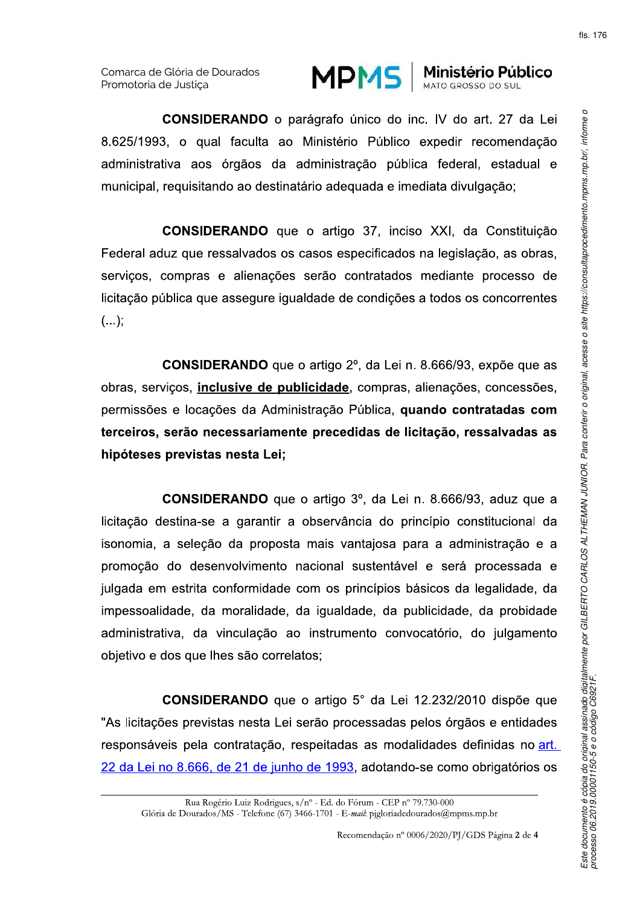

Ministério Público

**CONSIDERANDO** o parágrafo único do inc. IV do art. 27 da Lei 8.625/1993, o qual faculta ao Ministério Público expedir recomendação administrativa aos órgãos da administração pública federal, estadual e municipal, requisitando ao destinatário adequada e imediata divulgação;

**CONSIDERANDO** que o artigo 37, inciso XXI, da Constituição Federal aduz que ressalvados os casos especificados na legislação, as obras. serviços, compras e alienações serão contratados mediante processo de licitação pública que assegure igualdade de condições a todos os concorrentes  $(\ldots);$ 

**CONSIDERANDO** que o artigo 2<sup>°</sup>, da Lei n. 8.666/93, expõe que as obras, serviços, inclusive de publicidade, compras, alienações, concessões, permissões e locações da Administração Pública, quando contratadas com terceiros, serão necessariamente precedidas de licitação, ressalvadas as hipóteses previstas nesta Lei;

**CONSIDERANDO** que o artigo 3°, da Lei n. 8.666/93, aduz que a licitação destina-se a garantir a observância do princípio constitucional da isonomia, a seleção da proposta mais vantajosa para a administração e a promoção do desenvolvimento nacional sustentável e será processada e julgada em estrita conformidade com os princípios básicos da legalidade, da impessoalidade, da moralidade, da igualdade, da publicidade, da probidade administrativa, da vinculação ao instrumento convocatório, do julgamento objetivo e dos que lhes são correlatos;

**CONSIDERANDO** que o artigo 5° da Lei 12.232/2010 dispõe que "As licitações previstas nesta Lei serão processadas pelos órgãos e entidades responsáveis pela contratação, respeitadas as modalidades definidas no art. 22 da Lei no 8.666, de 21 de junho de 1993, adotando-se como obrigatórios os

Rua Rogério Luiz Rodrigues, s/nº - Ed. do Fórum - CEP nº 79.730-000 Glória de Dourados/MS - Telefone (67) 3466-1701 - E-mail: pigloriadedourados@mpms.mp.br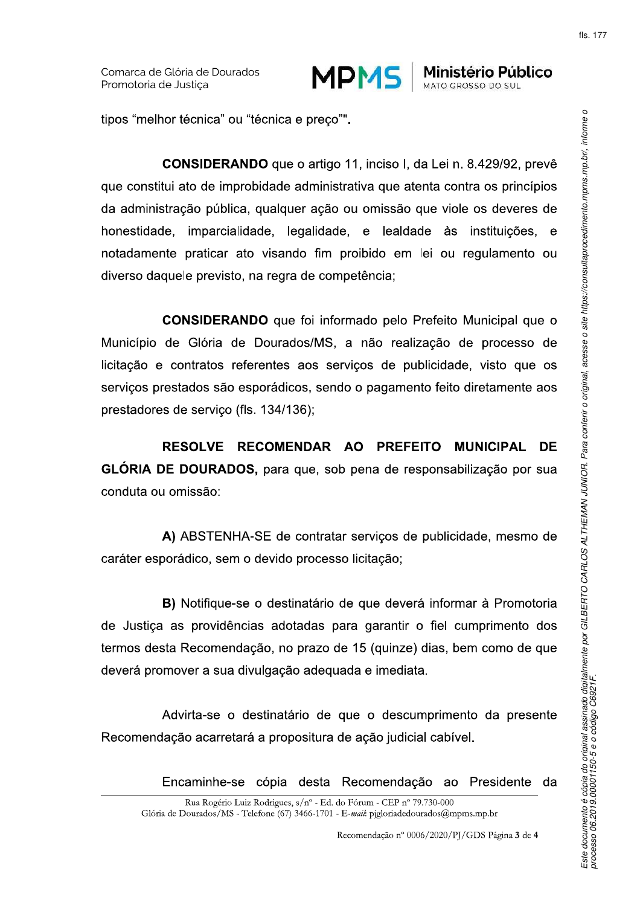

MPMS Ministério Público MATO GROSSO DO SUL

tipos "melhor técnica" ou "técnica e preço"".

**CONSIDERANDO** que o artigo 11, inciso I, da Lei n. 8.429/92, prevê que constitui ato de improbidade administrativa que atenta contra os princípios da administração pública, qualquer ação ou omissão que viole os deveres de honestidade, imparcialidade, legalidade, e lealdade às instituições,  $\mathbf{e}$ notadamente praticar ato visando fim proibido em lei ou regulamento ou diverso daquele previsto, na regra de competência;

**CONSIDERANDO** que foi informado pelo Prefeito Municipal que o Município de Glória de Dourados/MS, a não realização de processo de licitação e contratos referentes aos serviços de publicidade, visto que os serviços prestados são esporádicos, sendo o pagamento feito diretamente aos prestadores de serviço (fls. 134/136);

RESOLVE RECOMENDAR AO PREFEITO MUNICIPAL **DE** GLÓRIA DE DOURADOS, para que, sob pena de responsabilização por sua conduta ou omissão:

A) ABSTENHA-SE de contratar servicos de publicidade, mesmo de caráter esporádico, sem o devido processo licitação;

B) Notifique-se o destinatário de que deverá informar à Promotoria de Justica as providências adotadas para garantir o fiel cumprimento dos termos desta Recomendação, no prazo de 15 (quinze) dias, bem como de que deverá promover a sua divulgação adequada e imediata.

Advirta-se o destinatário de que o descumprimento da presente Recomendação acarretará a propositura de ação judicial cabível.

> Encaminhe-se cópia desta Recomendação ao Presidente da

Rua Rogério Luiz Rodrigues, s/nº - Ed. do Fórum - CEP nº 79.730-000 Glória de Dourados/MS - Telefone (67) 3466-1701 - E-mail: pigloriadedourados@mpms.mp.br

Recomendação nº 0006/2020/PJ/GDS Página 3 de 4